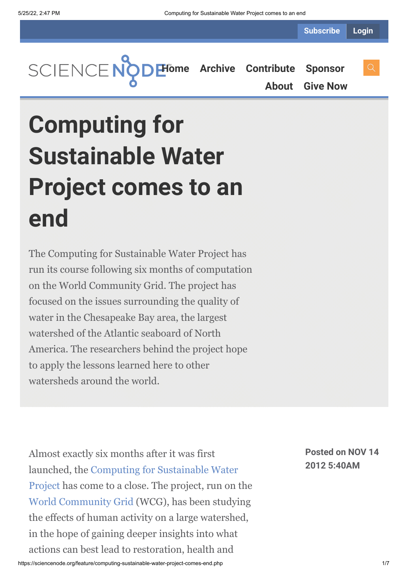**Subscribe Login**



**[About](https://sciencenode.org/about/index.php) [Give Now](https://sciencenode.org/donate/index.php)**

## **Computing for Sustainable Water Project comes to an end**

The Computing for Sustainable Water Project has run its course following six months of computation on the World Community Grid. The project has focused on the issues surrounding the quality of water in the Chesapeake Bay area, the largest watershed of the Atlantic seaboard of North America. The researchers behind the project hope to apply the lessons learned here to other watersheds around the world.

Almost exactly six months after it was first [launched, the Computing for Sustainable Water](http://www.worldcommunitygrid.org/research/cfsw/overview.do) Project has come to a close. The project, run on the [World Community Grid](http://www.worldcommunitygrid.org/index.jsp) (WCG), has been studying the effects of human activity on a large watershed, in the hope of gaining deeper insights into what actions can best lead to restoration, health and

**Posted on NOV 14 2012 5:40AM**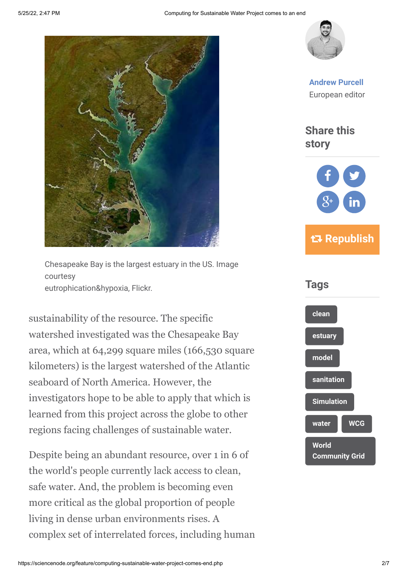

Chesapeake Bay is the largest estuary in the US. Image courtesy eutrophication&hypoxia, Flickr.

sustainability of the resource. The specific watershed investigated was the Chesapeake Bay area, which at 64,299 square miles (166,530 square kilometers) is the largest watershed of the Atlantic seaboard of North America. However, the investigators hope to be able to apply that which is learned from this project across the globe to other regions facing challenges of sustainable water.

Despite being an abundant resource, over 1 in 6 of the world's people currently lack access to clean, safe water. And, the problem is becoming even more critical as the global proportion of people living in dense urban environments rises. A complex set of interrelated forces, including human



**[Andrew Purcell](https://sciencenode.org/author/andrew-purcell.php)** European editor

**Share this story**



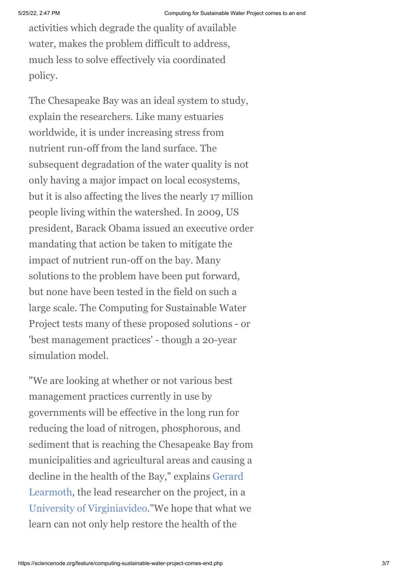activities which degrade the quality of available water, makes the problem difficult to address, much less to solve effectively via coordinated policy.

The Chesapeake Bay was an ideal system to study, explain the researchers. Like many estuaries worldwide, it is under increasing stress from nutrient run-off from the land surface. The subsequent degradation of the water quality is not only having a major impact on local ecosystems, but it is also affecting the lives the nearly 17 million people living within the watershed. In 2009, US president, Barack Obama issued an executive order mandating that action be taken to mitigate the impact of nutrient run-off on the bay. Many solutions to the problem have been put forward, but none have been tested in the field on such a large scale. The Computing for Sustainable Water Project tests many of these proposed solutions - or 'best management practices' - though a 20-year simulation model.

"We are looking at whether or not various best management practices currently in use by governments will be effective in the long run for reducing the load of nitrogen, phosphorous, and sediment that is reaching the Chesapeake Bay from municipalities and agricultural areas and causing a [decline in the health of the Bay," explains Gerard](http://www.sys.virginia.edu/people/gpl.html) Learmoth, the lead researcher on the project, in a [University of Virginia](http://www.virginia.edu/)[video.](https://www.youtube.com/watch?feature=player_embedded&v=LAzkdo8Wvrk)"We hope that what we learn can not only help restore the health of the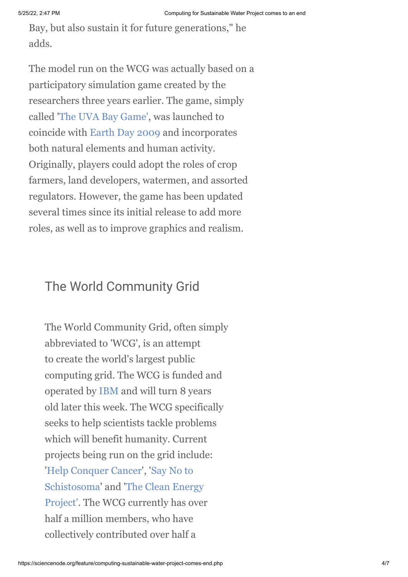Bay, but also sustain it for future generations," he adds.

The model run on the WCG was actually based on a participatory simulation game created by the researchers three years earlier. The game, simply called '[The UVA Bay Game',](http://www.virginia.edu/baygame/) was launched to coincide with [Earth Day 2009](http://www.earthday.org/campaign/earth-day-2009-green-generation%E2%84%A2) and incorporates both natural elements and human activity. Originally, players could adopt the roles of crop farmers, land developers, watermen, and assorted regulators. However, the game has been updated several times since its initial release to add more roles, as well as to improve graphics and realism.

## The World Community Grid

The World Community Grid, often simply abbreviated to 'WCG', is an attempt to create the world's largest public computing grid. The WCG is funded and operated by [IBM](http://www.ibm.com/us/en/) and will turn 8 years old later this week. The WCG specifically seeks to help scientists tackle problems which will benefit humanity. Current projects being run on the grid include: ['](http://www.worldcommunitygrid.org/research/sn2s/overview.do)[Help Conquer Cancer](http://www.worldcommunitygrid.org/research/hcc1/overview.do)[', 'Say No to](http://www.worldcommunitygrid.org/research/sn2s/overview.do) [Schistosoma' and 'The Clean Energy](http://www.worldcommunitygrid.org/research/cep2/overview.do) Project'. The WCG currently has over half a million members, who have collectively contributed over half a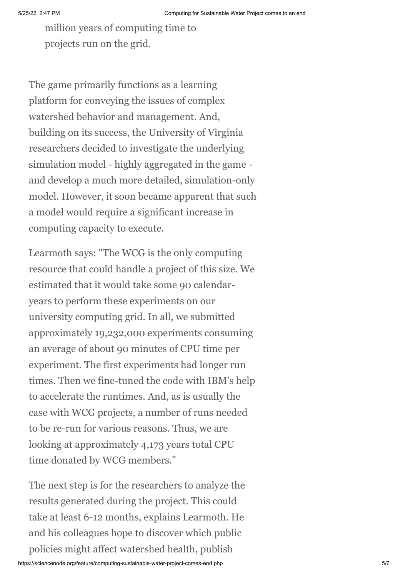million years of computing time to projects run on the grid.

The game primarily functions as a learning platform for conveying the issues of complex watershed behavior and management. And, building on its success, the University of Virginia researchers decided to investigate the underlying simulation model - highly aggregated in the game and develop a much more detailed, simulation-only model. However, it soon became apparent that such a model would require a significant increase in computing capacity to execute.

Learmoth says: "The WCG is the only computing resource that could handle a project of this size. We estimated that it would take some 90 calendaryears to perform these experiments on our university computing grid. In all, we submitted approximately 19,232,000 experiments consuming an average of about 90 minutes of CPU time per experiment. The first experiments had longer run times. Then we fine-tuned the code with IBM's help to accelerate the runtimes. And, as is usually the case with WCG projects, a number of runs needed to be re-run for various reasons. Thus, we are looking at approximately 4,173 years total CPU time donated by WCG members."

The next step is for the researchers to analyze the results generated during the project. This could take at least 6-12 months, explains Learmoth. He and his colleagues hope to discover which public policies might affect watershed health, publish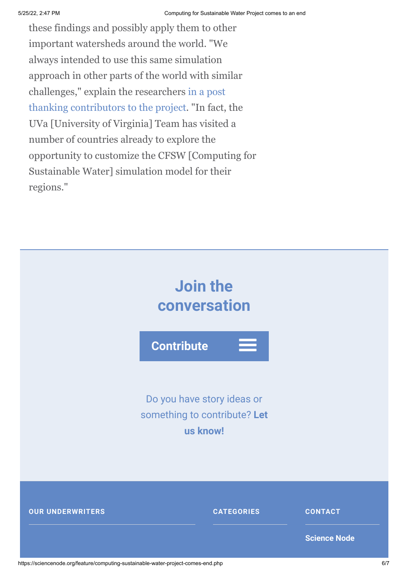these findings and possibly apply them to other important watersheds around the world. "We always intended to use this same simulation approach in other parts of the world with similar [challenges," explain the researchers in a post](http://www.worldcommunitygrid.org/forums/wcg/viewthread_thread,33880) thanking contributors to the project. "In fact, the UVa [University of Virginia] Team has visited a number of countries already to explore the opportunity to customize the CFSW [Computing for Sustainable Water] simulation model for their regions."